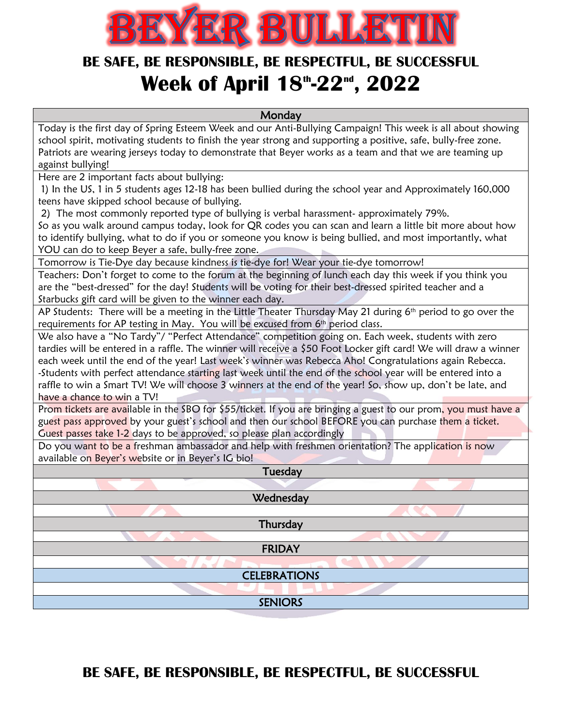

## **BE SAFE, BE RESPONSIBLE, BE RESPECTFUL, BE SUCCESSFUL Week of April 18 th -22nd , 2022**

**Monday** 

Today is the first day of Spring Esteem Week and our Anti-Bullying Campaign! This week is all about showing school spirit, motivating students to finish the year strong and supporting a positive, safe, bully-free zone. Patriots are wearing jerseys today to demonstrate that Beyer works as a team and that we are teaming up against bullying!

Here are 2 important facts about bullying:

1) In the US, 1 in 5 students ages 12-18 has been bullied during the school year and Approximately 160,000 teens have skipped school because of bullying.

2) The most commonly reported type of bullying is verbal harassment- approximately 79%.

So as you walk around campus today, look for QR codes you can scan and learn a little bit more about how to identify bullying, what to do if you or someone you know is being bullied, and most importantly, what YOU can do to keep Beyer a safe, bully-free zone.

Tomorrow is Tie-Dye day because kindness is tie-dye for! Wear your tie-dye tomorrow!

Teachers: Don't forget to come to the forum at the beginning of lunch each day this week if you think you are the "best-dressed" for the day! Students will be voting for their best-dressed spirited teacher and a Starbucks gift card will be given to the winner each day.

AP Students: There will be a meeting in the Little Theater Thursday May 21 during 6<sup>th</sup> period to go over the requirements for AP testing in May. You will be excused from 6<sup>th</sup> period class.

We also have a "No Tardy"/ "Perfect Attendance" competition going on. Each week, students with zero tardies will be entered in a raffle. The winner will receive a \$50 Foot Locker gift card! We will draw a winner each week until the end of the year! Last week's winner was Rebecca Aho! Congratulations again Rebecca. -Students with perfect attendance starting last week until the end of the school year will be entered into a raffle to win a Smart TV! We will choose 3 winners at the end of the year! So, show up, don't be late, and have a chance to win a TV!

Prom tickets are available in the SBO for \$55/ticket. If you are bringing a guest to our prom, you must have a guest pass approved by your guest's school and then our school BEFORE you can purchase them a ticket. Guest passes take 1-2 days to be approved, so please plan accordingly

Do you want to be a freshman ambassador and help with freshmen orientation? The application is now available on Beyer's website or in Beyer's IG bio!

| Tuesday             |
|---------------------|
|                     |
| Wednesday           |
|                     |
| Thursday            |
|                     |
| <b>FRIDAY</b>       |
|                     |
| <b>CELEBRATIONS</b> |
|                     |
| <b>SENIORS</b>      |
|                     |

## **BE SAFE, BE RESPONSIBLE, BE RESPECTFUL, BE SUCCESSFUL**